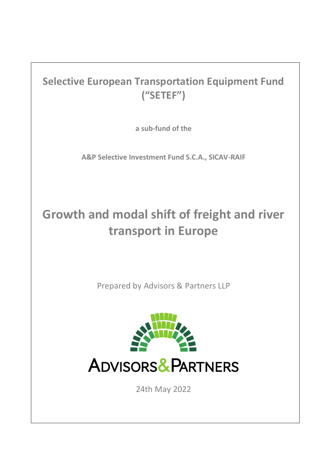## **Selective European Transportation Equipment Fund ("SETEF")**

**a sub-fund of the** 

**A&P Selective Investment Fund S.C.A., SICAV-RAIF**

# **Growth and modal shift of freight and river transport in Europe**

Prepared by Advisors & Partners LLP



24th May 2022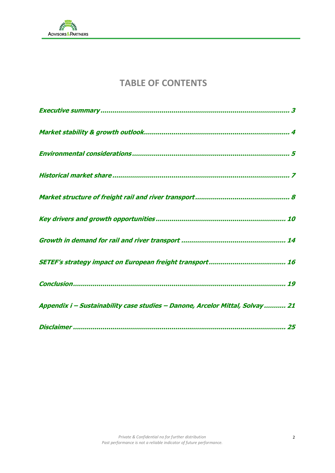

## **TABLE OF CONTENTS**

| Appendix i - Sustainability case studies - Danone, Arcelor Mittal, Solvay 21 |
|------------------------------------------------------------------------------|
|                                                                              |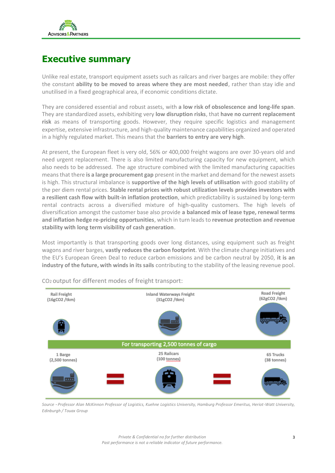

### **Executive summary**

Unlike real estate, transport equipment assets such as railcars and river barges are mobile: they offer the constant **ability to be moved to areas where they are most needed**, rather than stay idle and unutilised in a fixed geographical area, if economic conditions dictate.

They are considered essential and robust assets, with **a low risk of obsolescence and long-life span**. They are standardized assets, exhibiting very **low disruption risks**, that **have no current replacement risk** as means of transporting goods. However, they require specific logistics and management expertise, extensive infrastructure, and high-quality maintenance capabilities organized and operated in a highly regulated market. This means that the **barriers to entry are very high**.

At present, the European fleet is very old, 56% or 400,000 freight wagons are over 30-years old and need urgent replacement. There is also limited manufacturing capacity for new equipment, which also needs to be addressed. The age structure combined with the limited manufacturing capacities means that there **is a large procurement gap** present in the market and demand for the newest assets is high. This structural imbalance is **supportive of the high levels of utilisation** with good stability of the per diem rental prices. **Stable rental prices with robust utilization levels provides investors with a resilient cash flow with built-in inflation protection**, which predictability is sustained by long-term rental contracts across a diversified mixture of high-quality customers. The high levels of diversification amongst the customer base also provide **a balanced mix of lease type, renewal terms and inflation hedge re-pricing opportunities**, which in turn leads to **revenue protection and revenue stability with long term visibility of cash generation**.

Most importantly is that transporting goods over long distances, using equipment such as freight wagons and river barges, **vastly reduces the carbon footprint**. With the climate change initiatives and the EU's European Green Deal to reduce carbon emissions and be carbon neutral by 2050, **it is an industry of the future, with winds in its sails** contributing to the stability of the leasing revenue pool.



CO2 output for different modes of freight transport:

*Source* – *Professor Alan McKinnon Professor of Logistics, Kuehne Logistics University, Hamburg Professor Emeritus, Heriot-Watt University, Edinburgh / Touax Group*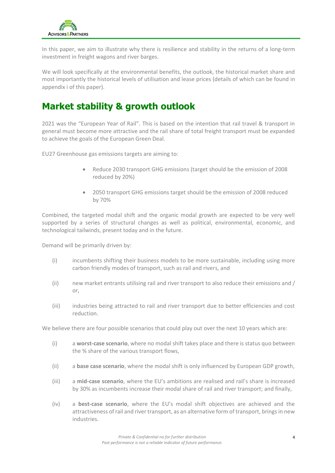

In this paper, we aim to illustrate why there is resilience and stability in the returns of a long-term investment in freight wagons and river barges.

We will look specifically at the environmental benefits, the outlook, the historical market share and most importantly the historical levels of utilisation and lease prices (details of which can be found in appendix i of this paper).

### **Market stability & growth outlook**

2021 was the "European Year of Rail". This is based on the intention that rail travel & transport in general must become more attractive and the rail share of total freight transport must be expanded to achieve the goals of the European Green Deal.

EU27 Greenhouse gas emissions targets are aiming to:

- Reduce 2030 transport GHG emissions (target should be the emission of 2008 reduced by 20%)
- 2050 transport GHG emissions target should be the emission of 2008 reduced by 70%

Combined, the targeted modal shift and the organic modal growth are expected to be very well supported by a series of structural changes as well as political, environmental, economic, and technological tailwinds, present today and in the future.

Demand will be primarily driven by:

- (i) incumbents shifting their business models to be more sustainable, including using more carbon friendly modes of transport, such as rail and rivers, and
- (ii) new market entrants utilising rail and river transport to also reduce their emissions and / or,
- (iii) industries being attracted to rail and river transport due to better efficiencies and cost reduction.

We believe there are four possible scenarios that could play out over the next 10 years which are:

- (i) a **worst-case scenario**, where no modal shift takes place and there is status quo between the % share of the various transport flows,
- (ii) a **base case scenario**, where the modal shift is only influenced by European GDP growth,
- (iii) a **mid-case scenario**, where the EU's ambitions are realised and rail's share is increased by 30% as incumbents increase their modal share of rail and river transport; and finally,
- (iv) a **best-case scenario**, where the EU's modal shift objectives are achieved and the attractiveness of rail and river transport, as an alternative form of transport, brings in new industries.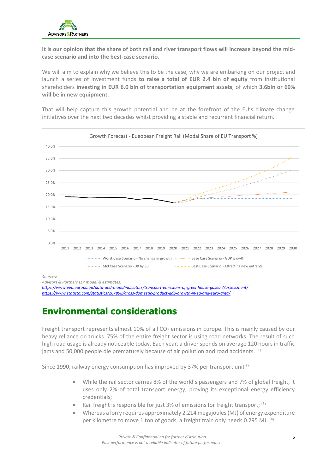

**It is our opinion that the share of both rail and river transport flows will increase beyond the midcase scenario and into the best-case scenario**.

We will aim to explain why we believe this to be the case, why we are embarking on our project and launch a series of investment funds **to raise a total of EUR 2.4 bln of equity** from institutional shareholders **investing in EUR 6.0 bln of transportation equipment assets**, of which **3.6bln or 60% will be in new equipment**.

That will help capture this growth potential and be at the forefront of the EU's climate change initiatives over the next two decades whilst providing a stable and recurrent financial return.



*Sources:* 

*<https://www.eea.europa.eu/data-and-maps/indicators/transport-emissions-of-greenhouse-gases-7/assessment/> <https://www.statista.com/statistics/267898/gross-domestic-product-gdp-growth-in-eu-and-euro-area/>*

## **Environmental considerations**

Freight transport represents almost 10% of all  $CO<sub>2</sub>$  emissions in Europe. This is mainly caused by our heavy reliance on trucks. 75% of the entire freight sector is using road networks. The result of such high road usage is already noticeable today. Each year, a driver spends on average 120 hours in traffic jams and 50,000 people die prematurely because of air pollution and road accidents. <sup>(1)</sup>

Since 1990, railway energy consumption has improved by 37% per transport unit (2)

- While the rail sector carries 8% of the world's passengers and 7% of global freight, it uses only 2% of total transport energy, proving its exceptional energy efficiency credentials;
- **Rail freight is responsible for just 3% of emissions for freight transport;**  $^{(3)}$
- Whereas a lorry requires approximately 2.214 megajoules (MJ) of energy expenditure per kilometre to move 1 ton of goods, a freight train only needs 0.295 MJ. <sup>(4)</sup>

*Advisors & Partners LLP model & estimates.*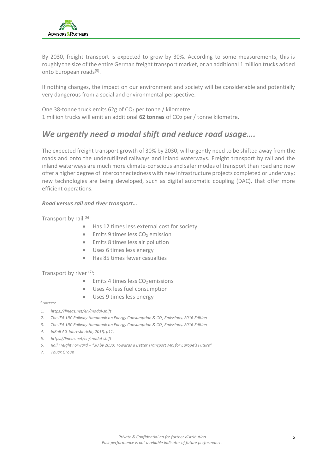

By 2030, freight transport is expected to grow by 30%. According to some measurements, this is roughly the size of the entire German freight transport market, or an additional 1 million trucks added onto European roads<sup>(5)</sup>.

If nothing changes, the impact on our environment and society will be considerable and potentially very dangerous from a social and environmental perspective.

One 38-tonne truck emits 62g of CO<sub>2</sub> per tonne / kilometre. 1 million trucks will emit an additional **62 tonnes** of CO2 per / tonne kilometre.

### *We urgently need a modal shift and reduce road usage….*

The expected freight transport growth of 30% by 2030, will urgently need to be shifted away from the roads and onto the underutilized railways and inland waterways. Freight transport by rail and the inland waterways are much more climate-conscious and safer modes of transport than road and now offer a higher degree of interconnectedness with new infrastructure projects completed or underway; new technologies are being developed, such as digital automatic coupling (DAC), that offer more efficient operations.

### *Road versus rail and river transport…*

Transport by rail (6):

- Has 12 times less external cost for society
- $\bullet$  Emits 9 times less CO<sub>2</sub> emission
- Emits 8 times less air pollution
- Uses 6 times less energy
- Has 85 times fewer casualties

### Transport by river (7):

- $\bullet$  Emits 4 times less CO<sub>2</sub> emissions
- Uses 4x less fuel consumption
- Uses 9 times less energy
- Sources:
- *1. https://lineas.net/en/modal-shift*
- *2. The IEA-UIC Railway Handbook on Energy Consumption & CO<sup>2</sup> Emissions, 2016 Edition*
- *3. The IEA-UIC Railway Handbook on Energy Consumption & CO<sup>2</sup> Emissions, 2016 Edition*
- *4. InRoll AG Jahresbericht, 2018, p11.*
- *5. https://lineas.net/en/modal-shift*
- *6. Rail Freight Forward – "30 by 2030: Towards a Better Transport Mix for Europe's Future"*
- *7. Touax Group*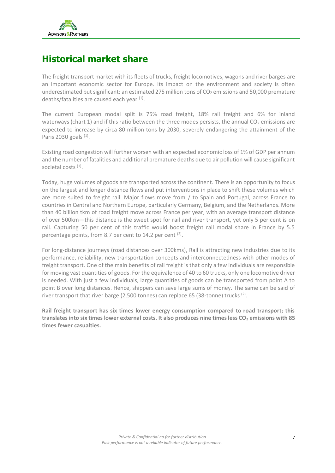

### **Historical market share**

The freight transport market with its fleets of trucks, freight locomotives, wagons and river barges are an important economic sector for Europe. Its impact on the environment and society is often underestimated but significant: an estimated 275 million tons of  $CO<sub>2</sub>$  emissions and 50,000 premature deaths/fatalities are caused each year (1).

The current European modal split is 75% road freight, 18% rail freight and 6% for inland waterways (chart 1) and if this ratio between the three modes persists, the annual  $CO<sub>2</sub>$  emissions are expected to increase by circa 80 million tons by 2030, severely endangering the attainment of the Paris 2030 goals <sup>(1)</sup>.

Existing road congestion will further worsen with an expected economic loss of 1% of GDP per annum and the number of fatalities and additional premature deaths due to air pollution will cause significant societal costs <sup>(1)</sup>.

Today, huge volumes of goods are transported across the continent. There is an opportunity to focus on the largest and longer distance flows and put interventions in place to shift these volumes which are more suited to freight rail. Major flows move from / to Spain and Portugal, across France to countries in Central and Northern Europe, particularly Germany, Belgium, and the Netherlands. More than 40 billion tkm of road freight move across France per year, with an average transport distance of over 500km—this distance is the sweet spot for rail and river transport, yet only 5 per cent is on rail. Capturing 50 per cent of this traffic would boost freight rail modal share in France by 5.5 percentage points, from 8.7 per cent to 14.2 per cent <sup>(2)</sup>.

For long-distance journeys (road distances over 300kms), Rail is attracting new industries due to its performance, reliability, new transportation concepts and interconnectedness with other modes of freight transport. One of the main benefits of rail freight is that only a few individuals are responsible for moving vast quantities of goods. For the equivalence of 40 to 60 trucks, only one locomotive driver is needed. With just a few individuals, large quantities of goods can be transported from point A to point B over long distances. Hence, shippers can save large sums of money. The same can be said of river transport that river barge (2,500 tonnes) can replace 65 (38-tonne) trucks  $^{(2)}$ .

**Rail freight transport has six times lower energy consumption compared to road transport; this translates into six times lower external costs. It also produces nine times less CO<sup>2</sup> emissions with 85 times fewer casualties.**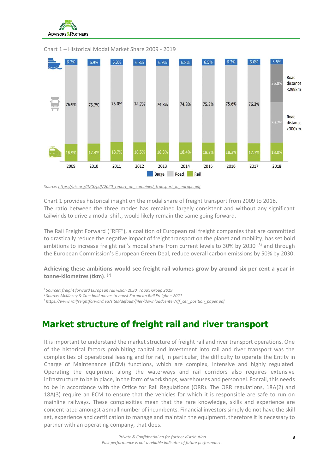



### Chart 1 – Historical Modal Market Share 2009 - 2019

*Source[: https://uic.org/IMG/pdf/2020\\_report\\_on\\_combined\\_transport\\_in\\_europe.pdf](https://uic.org/IMG/pdf/2020_report_on_combined_transport_in_europe.pdf)*

Chart 1 provides historical insight on the modal share of freight transport from 2009 to 2018. The ratio between the three modes has remained largely consistent and without any significant tailwinds to drive a modal shift, would likely remain the same going forward.

The Rail Freight Forward ("RFF"), a coalition of European rail freight companies that are committed to drastically reduce the negative impact of freight transport on the planet and mobility, has set bold ambitions to increase freight rail's modal share from current levels to 30% by 2030 <sup>(3)</sup> and through the European Commission's European Green Deal, reduce overall carbon emissions by 50% by 2030.

**Achieving these ambitions would see freight rail volumes grow by around six per cent a year in tonne-kilometres (tkm)**. (2)

<sup>1</sup>*Sources: freight forward European rail vision 2030, Touax Group 2019*

<sup>2</sup>*Source: McKinsey & Co – bold moves to boost European Rail Freight – 2021*

<sup>3</sup> *https://www.railfreightforward.eu/sites/default/files/downloadcenter/rff\_cer\_position\_paper.pdf*

### **Market structure of freight rail and river transport**

It is important to understand the market structure of freight rail and river transport operations. One of the historical factors prohibiting capital and investment into rail and river transport was the complexities of operational leasing and for rail, in particular, the difficulty to operate the Entity in Charge of Maintenance (ECM) functions, which are complex, intensive and highly regulated. Operating the equipment along the waterways and rail corridors also requires extensive infrastructure to be in place, in the form of workshops, warehouses and personnel. For rail, this needs to be in accordance with the Office for Rail Regulations (ORR). The ORR regulations, 18A(2) and 18A(3) require an ECM to ensure that the vehicles for which it is responsible are safe to run on mainline railways. These complexities mean that the rare knowledge, skills and experience are concentrated amongst a small number of incumbents. Financial investors simply do not have the skill set, experience and certification to manage and maintain the equipment, therefore it is necessary to partner with an operating company, that does.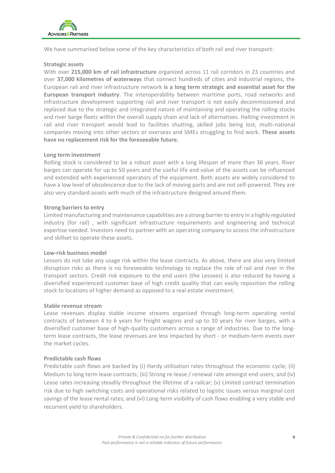

We have summarised below some of the key characteristics of both rail and river transport:

### **Strategic assets**

With over **215,000 km of rail infrastructure** organized across 11 rail corridors in 23 countries and over **37,000 kilometres of waterways** that connect hundreds of cities and industrial regions, the European rail and river infrastructure network **is a long term strategic and essential asset for the European transport industry**. The interoperability between maritime ports, road networks and infrastructure development supporting rail and river transport is not easily decommissioned and replaced due to the strategic and integrated nature of maintaining and operating the rolling stocks and river barge fleets within the overall supply chain and lack of alternatives. Halting investment in rail and river transport would lead to facilities shutting, skilled jobs being lost, multi-national companies moving into other sectors or overseas and SMEs struggling to find work. **These assets have no replacement risk for the foreseeable future.**

### **Long term investment**

Rolling stock is considered to be a robust asset with a long lifespan of more than 36 years. River barges can operate for up to 50 years and the useful life and value of the assets can be influenced and extended with experienced operators of the equipment. Both assets are widely considered to have a low level of obsolescence due to the lack of moving parts and are not self-powered. They are also very standard assets with much of the infrastructure designed around them.

### **Strong barriers to entry**

Limited manufacturing and maintenance capabilities are a strong barrier to entry in a highly regulated industry (for rail) , with significant infrastructure requirements and engineering and technical expertise needed. Investors need to partner with an operating company to access the infrastructure and skillset to operate these assets.

### **Low-risk business model**

Lessors do not take any usage risk within the lease contracts. As above, there are also very limited disruption risks as there is no foreseeable technology to replace the role of rail and river in the transport sectors. Credit risk exposure to the end users (the Lessees) is also reduced by having a diversified experienced customer base of high credit quality that can easily reposition the rolling stock to locations of higher demand as opposed to a real estate investment.

### **Stable revenue stream**

Lease revenues display stable income streams organised through long-term operating rental contracts of between 4 to 6 years for freight wagons and up to 10 years for river barges, with a diversified customer base of high-quality customers across a range of industries. Due to the longterm lease contracts, the lease revenues are less impacted by short - or medium-term events over the market cycles.

### **Predictable cash flows**

Predictable cash flows are backed by (i) Hardy utilisation rates throughout the economic cycle; (ii) Medium to long term lease contracts; (iii) Strong re-lease / renewal rate amongst end-users; and (iv) Lease rates increasing steadily throughout the lifetime of a railcar; (v) Limited contract termination risk due to high switching costs and operational risks related to logistic issues versus marginal cost savings of the lease rental rates; and (vi) Long-term visibility of cash flows enabling a very stable and recurrent yield to shareholders.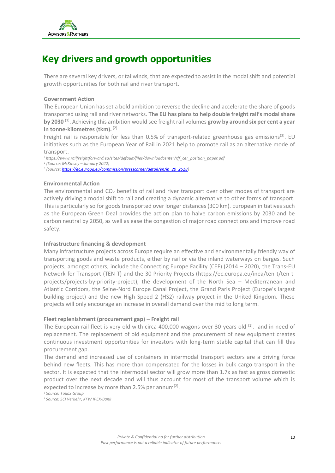

## **Key drivers and growth opportunities**

There are several key drivers, or tailwinds, that are expected to assist in the modal shift and potential growth opportunities for both rail and river transport.

### **Government Action**

The European Union has set a bold ambition to reverse the decline and accelerate the share of goods transported using rail and river networks. **The EU has plans to help double freight rail's modal share**  by 2030<sup>(1)</sup>. Achieving this ambition would see freight rail volumes grow by around six per cent a year **in tonne-kilometres (tkm).** (2)

Freight rail is responsible for less than 0.5% of transport-related greenhouse gas emissions<sup>(3)</sup>. EU initiatives such as the European Year of Rail in 2021 help to promote rail as an alternative mode of transport.

<sup>1</sup>*https://www.railfreightforward.eu/sites/default/files/downloadcenter/rff\_cer\_position\_paper.pdf*

2 *(Source: McKinsey – January 2022)*

3 *(Source[: https://ec.europa.eu/commission/presscorner/detail/en/ip\\_20\\_2528\)](https://ec.europa.eu/commission/presscorner/detail/en/ip_20_2528)*

### **Environmental Action**

The environmental and  $CO<sub>2</sub>$  benefits of rail and river transport over other modes of transport are actively driving a modal shift to rail and creating a dynamic alternative to other forms of transport. This is particularly so for goods transported over longer distances (300 km). European initiatives such as the European Green Deal provides the action plan to halve carbon emissions by 2030 and be carbon neutral by 2050, as well as ease the congestion of major road connections and improve road safety.

### **Infrastructure financing & development**

Many infrastructure projects across Europe require an effective and environmentally friendly way of transporting goods and waste products, either by rail or via the inland waterways on barges. Such projects, amongst others, include the Connecting Europe Facility (CEF) (2014 – 2020), the Trans-EU Network for Transport (TEN-T) and the 30 Priority Projects [\(https://ec.europa.eu/inea/ten-t/ten-t](https://ec.europa.eu/inea/ten-t/ten-t-projects/projects-by-priority-project)[projects/projects-by-priority-project\)](https://ec.europa.eu/inea/ten-t/ten-t-projects/projects-by-priority-project), the development of the North Sea – Mediterranean and Atlantic Corridors, the Seine-Nord Europe Canal Project, the Grand Paris Project (Europe's largest building project) and the new High Speed 2 (HS2) railway project in the United Kingdom. These projects will only encourage an increase in overall demand over the mid to long term.

### **Fleet replenishment (procurement gap) – Freight rail**

The European rail fleet is very old with circa 400,000 wagons over 30-years old <sup>(1)</sup>. and in need of replacement. The replacement of old equipment and the procurement of new equipment creates continuous investment opportunities for investors with long-term stable capital that can fill this procurement gap.

The demand and increased use of containers in intermodal transport sectors are a driving force behind new fleets. This has more than compensated for the losses in bulk cargo transport in the sector. It is expected that the intermodal sector will grow more than 1.7x as fast as gross domestic product over the next decade and will thus account for most of the transport volume which is expected to increase by more than 2.5% per annum $^{(2)}$ .

<sup>1</sup> *Source: Touax Group* 2 *Source: SCI Verkehr, KFW IPEX-Bank*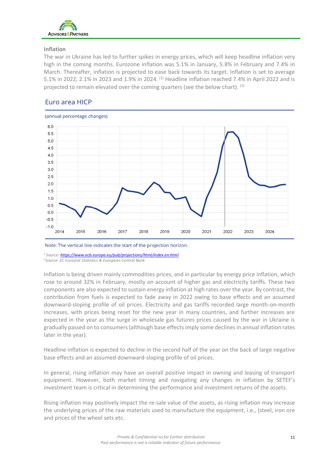

### **Inflation**

The war in Ukraine has led to further spikes in energy prices, which will keep headline inflation very high in the coming months. Eurozone inflation was 5.1% in January, 5.8% in February and 7.4% in March. Thereafter, inflation is projected to ease back towards its target. Inflation is set to average 5.1% in 2022, 2.1% in 2023 and 1.9% in 2024. <sup>(1)</sup> Headline inflation reached 7.4% in April 2022 and is projected to remain elevated over the coming quarters (see the below chart). (2)

### Euro area HICP



Note: The vertical line indicates the start of the projection horizon.

<sup>1</sup>*Source[: https://www.ecb.europa.eu/pub/projections/html/index.en.html](https://www.ecb.europa.eu/pub/projections/html/index.en.html)* <sup>2</sup>*Source: EC Eurostat Statistics & European Central Bank*

Inflation is being driven mainly commodities prices, and in particular by energy price inflation, which rose to around 32% in February, mostly on account of higher gas and electricity tariffs. These two components are also expected to sustain energy inflation at high rates over the year. By contrast, the contribution from fuels is expected to fade away in 2022 owing to base effects and an assumed downward-sloping profile of oil prices. Electricity and gas tariffs recorded large month-on-month increases, with prices being reset for the new year in many countries, and further increases are expected in the year as the surge in wholesale gas futures prices caused by the war in Ukraine is gradually passed on to consumers (although base effects imply some declines in annual inflation rates later in the year).

Headline inflation is expected to decline in the second half of the year on the back of large negative base effects and an assumed downward-sloping profile of oil prices.

In general, rising inflation may have an overall positive impact in owning and leasing of transport equipment. However, both market timing and navigating any changes in inflation by SETEF's investment team is critical in determining the performance and investment returns of the assets.

Rising inflation may positively impact the re-sale value of the assets, as rising inflation may increase the underlying prices of the raw materials used to manufacture the equipment, i.e., (steel, iron ore and prices of the wheel sets etc.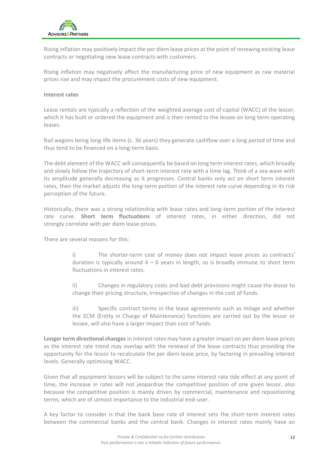

Rising inflation may positively impact the per diem lease prices at the point of renewing existing lease contracts or negotiating new lease contracts with customers.

Rising inflation may negatively affect the manufacturing price of new equipment as raw material prices rise and may impact the procurement costs of new equipment.

### **Interest rates**

Lease rentals are typically a reflection of the weighted average cost of capital (WACC) of the lessor, which it has built or ordered the equipment and is then rented to the lessee on long term operating leases.

Rail wagons being long-life items (c. 36 years) they generate cashflow over a long period of time and thus tend to be financed on a long-term basis.

The debt element of the WACC will consequently be based on long term interest rates, which broadly and slowly follow the trajectory of short-term interest rate with a time lag. Think of a sea wave with its amplitude generally decreasing as it progresses. Central banks only act on short term interest rates, then the market adjusts the long-term portion of the interest rate curve depending in its risk perception of the future.

Historically, there was a strong relationship with lease rates and long-term portion of the interest rate curve. **Short term fluctuations** of interest rates, in either direction, did not strongly correlate with per diem lease prices.

There are several reasons for this:

i) The shorter-term cost of money does not impact lease prices as contracts' duration is typically around  $4 - 6$  years in length, so is broadly immune to short term fluctuations in interest rates.

ii) Changes in regulatory costs and bad debt provisions might cause the lessor to change their pricing structure, irrespective of changes in the cost of funds.

iii) Specific contract terms in the lease agreements such as milage and whether the ECM (Entity in Charge of Maintenance) functions are carried out by the lessor or lessee, will also have a larger impact than cost of funds.

**Longer term directional changes** in interest rates may have a greater impact on per diem lease prices as the interest rate trend may overlap with the renewal of the lease contracts thus providing the opportunity for the lessor to recalculate the per diem lease price, by factoring in prevailing interest levels. Generally optimising WACC.

Given that all equipment lessors will be subject to the same interest rate tide effect at any point of time, the increase in rates will not jeopardise the competitive position of one given lessor, also because the competitive position is mainly driven by commercial, maintenance and repositioning terms, which are of utmost importance to the industrial end-user.

A key factor to consider is that the bank base rate of interest sets the short-term interest rates between the commercial banks and the central bank. Changes in interest rates mainly have an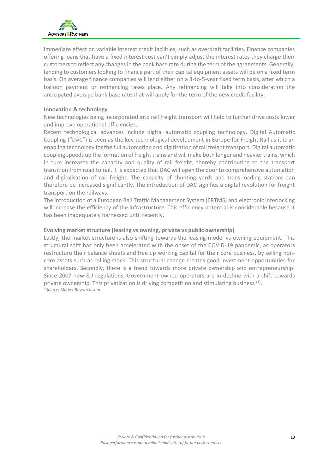

immediate effect on variable interest credit facilities, such as overdraft facilities. Finance companies offering loans that have a fixed interest cost can't simply adjust the interest rates they charge their customers to reflect any changes in the bank base rate during the term of the agreements. Generally, lending to customers looking to finance part of their capital equipment assets will be on a fixed term basis. On average finance companies will lend either on a 3-to-5-year fixed term basis, after which a balloon payment or refinancing takes place. Any refinancing will take into consideration the anticipated average bank base rate that will apply for the term of the new credit facility.

### **Innovation & technology**

New technologies being incorporated into rail freight transport will help to further drive costs lower and improve operational efficiencies.

Recent technological advances include digital automatic coupling technology. Digital Automatic Coupling ("DAC") is seen as the key technological development in Europe for Freight Rail as it is an enabling technology for the full automation and digitisation of rail freight transport. Digital automatic coupling speeds up the formation of freight trains and will make both longer and heavier trains, which in turn increases the capacity and quality of rail freight, thereby contributing to the transport transition from road to rail. It is expected that DAC will open the door to comprehensive automation and digitalisation of rail freight. The capacity of shunting yards and trans-loading stations can therefore be increased significantly. The introduction of DAC signifies a digital revolution for freight transport on the railways.

The introduction of a European Rail Traffic Management System (ERTMS) and electronic interlocking will increase the efficiency of the infrastructure. This efficiency potential is considerable because it has been inadequately harnessed until recently.

### **Evolving market structure (leasing vs owning, private vs public ownership)**

Lastly, the market structure is also shifting towards the leasing model vs owning equipment. This structural shift has only been accelerated with the onset of the COVID-19 pandemic, as operators restructure their balance sheets and free up working capital for their core business, by selling noncore assets such as rolling stock. This structural change creates good investment opportunities for shareholders. Secondly, there is a trend towards more private ownership and entrepreneurship. Since 2007 new EU regulations, Government-owned operators are in decline with a shift towards private ownership. This privatization is driving competition and stimulating business <sup>(1)</sup>. 1 *Source: Market Research.com*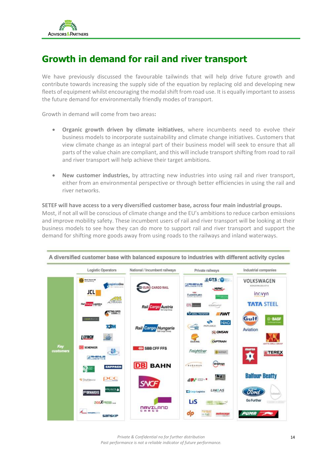## **Growth in demand for rail and river transport**

We have previously discussed the favourable tailwinds that will help drive future growth and contribute towards increasing the supply side of the equation by replacing old and developing new fleets of equipment whilst encouraging the modal shift from road use. It is equally important to assess the future demand for environmentally friendly modes of transport.

Growth in demand will come from two areas**:**

- **Organic growth driven by climate initiatives**, where incumbents need to evolve their business models to incorporate sustainability and climate change initiatives. Customers that view climate change as an integral part of their business model will seek to ensure that all parts of the value chain are compliant, and this will include transport shifting from road to rail and river transport will help achieve their target ambitions.
- **New customer industries,** by attracting new industries into using rail and river transport, either from an environmental perspective or through better efficiencies in using the rail and river networks.

### **SETEF will have access to a very diversified customer base, across four main industrial groups.**  Most, if not all will be conscious of climate change and the EU's ambitions to reduce carbon emissions and improve mobility safety. These incumbent users of rail and river transport will be looking at their business models to see how they can do more to support rail and river transport and support the demand for shifting more goods away from using roads to the railways and inland waterways.



A diversified customer base with balanced exposure to industries with different activity cycles

*Private & Confidential no for further distribution Past performance is not a reliable indicator of future performance.*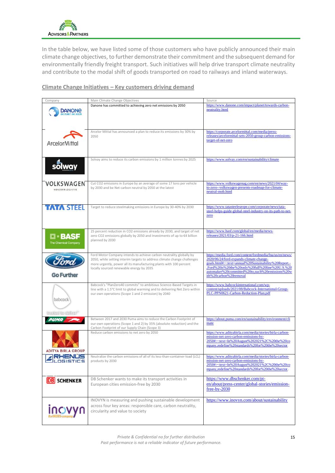

In the table below, we have listed some of those customers who have publicly announced their main climate change objectives, to further demonstrate their commitment and the subsequent demand for environmentally friendly freight transport. Such initiatives will help drive transport climate neutrality and contribute to the modal shift of goods transported on road to railways and inland waterways.

### **Climate Change Initiatives – Key customers driving demand**

| Company                                  | Main Climate Change Objectives                                                                                                                                                                                                                                    | Source                                                                                                                                                                                                                                                                                       |
|------------------------------------------|-------------------------------------------------------------------------------------------------------------------------------------------------------------------------------------------------------------------------------------------------------------------|----------------------------------------------------------------------------------------------------------------------------------------------------------------------------------------------------------------------------------------------------------------------------------------------|
| DANONE                                   | Danone has committed to achieving zero net emissions by 2050                                                                                                                                                                                                      | https://www.danone.com/impact/planet/towards-carbon-<br>neutrality.html                                                                                                                                                                                                                      |
| <b>ArcelorMittal</b>                     | Arcelor Mittal has announced a plan to reduce its emissions by 30% by<br>2050                                                                                                                                                                                     | https://corporate.arcelormittal.com/media/press-<br>releases/arcelormittal-sets-2050-group-carbon-emissions-<br>target-of-net-zero                                                                                                                                                           |
| solway                                   | Solvay aims to reduce its carbon emissions by 1 million tonnes by 2025                                                                                                                                                                                            | https://www.solvay.com/en/sustainability/climate                                                                                                                                                                                                                                             |
| VOLKSWAGEN<br>KONZERNLOGISTIK            | Cut CO2 emissions in Europe by an average of some 17 tons per vehicle<br>by 2030 and be Net carbon neutral by 2050 at the latest                                                                                                                                  | https://www.volkswagenag.com/en/news/2021/04/way-<br>to-zero--volkswagen-presents-roadmap-for-climate-<br>neutral-mob.html                                                                                                                                                                   |
| <b>TATA STEEL</b>                        | Target to reduce steelmaking emissions in Europe by 30-40% by 2030                                                                                                                                                                                                | https://www.tatasteeleurope.com/corporate/news/tata-<br>steel-helps-guide-global-steel-industry-on-its-path-to-net-<br>zero                                                                                                                                                                  |
| $\square$ - BASF<br>The Chemical Company | 25 percent reduction in CO2 emissions already by 2030, and target of net<br>zero CO2 emissions globally by 2050 and Investments of up to €4 billion<br>planned by 2030                                                                                            | https://www.basf.com/global/en/media/news-<br>releases/2021/03/p-21-166.html                                                                                                                                                                                                                 |
| <b>Go Further</b>                        | Ford Motor Company intends to achieve carbon neutrality globally by<br>2050, while setting interim targets to address climate change challenges<br>more urgently, power all its manufacturing plants with 100 percent<br>locally sourced renewable energy by 2035 | https://media.ford.com/content/fordmedia/fna/us/en/news/<br>2020/06/24/ford-expands-climate-change-<br>goals.html#:~:text=annual%20Sustainability%20Report.-<br>,Ford%20is%20the%20only%20full%20line%20U.S.%20<br>automaker%20committed%20to,such%20emissions%20w<br>ith%20carbon%20removal |
| babcock<br>in rate to celver             | Babcock's "PlanZero40 commits" to ambitious Science-Based Targets in<br>line with a 1.5°C limit to global warming and to delivering Net Zero within<br>our own operations (Scope 1 and 2 emission) by 2040                                                        | https://www.babcockinternational.com/wp-<br>content/uploads/2021/08/Babcock-International-Group-<br>PLC-PPN0621-Carbon-Reduction-Plan.pdf                                                                                                                                                    |
|                                          | Between 2017 and 2030 Puma aims to reduce the Carbon Footprint of<br>our own operations (Scope 1 and 2) by 35% (absolute reduction) and the<br>Carbon Footprint of our Supply Chain (Scope 3)                                                                     | https://about.puma.com/en/sustainability/environment/cli<br>mate                                                                                                                                                                                                                             |
| <b>ADITYA BIRLA GROUP</b>                | Reduce carbon emissions to net zero by 2050                                                                                                                                                                                                                       | https://www.adityabirla.com/media/stories/birla-carbon-<br>mission-net-zero-carbon-emissions-by-<br>2050#:~:text=In%20August%202021%2C%20the%20co<br>mpany,redefine%20standards%20for%20the%20sector.                                                                                        |
| <b>RHENUS</b><br>OGISTICS                | Neutralize the carbon emissions of all of its less-than-container-load (LCL)<br>products by 2030                                                                                                                                                                  | https://www.adityabirla.com/media/stories/birla-carbon-<br>mission-net-zero-carbon-emissions-by-<br>2050#:~:text=In%20August%202021%2C%20the%20co<br>mpany,redefine%20standards%20for%20the%20sector.                                                                                        |
| <b>DB</b> SCHENKER                       | DB Schenker wants to make its transport activities in<br>European cities emission-free by 2030                                                                                                                                                                    | https://www.dbschenker.com/pt-<br>en/about/press-center/global-stories/emission-<br>$free-by-2030$                                                                                                                                                                                           |
| INOV                                     | INOVYN is measuring and pushing sustainable development<br>across four key areas: responsible care, carbon neutrality,<br>circularity and value to society                                                                                                        | https://www.inovyn.com/about/sustainability                                                                                                                                                                                                                                                  |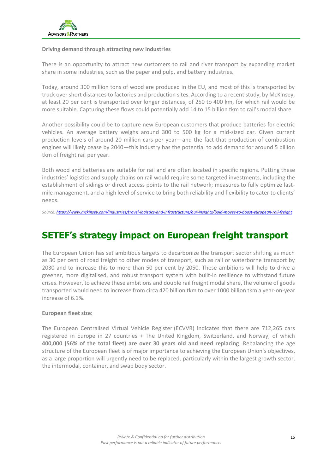

### **Driving demand through attracting new industries**

There is an opportunity to attract new customers to rail and river transport by expanding market share in some industries, such as the paper and pulp, and battery industries.

Today, around 300 million tons of wood are produced in the EU, and most of this is transported by truck over short distances to factories and production sites. According to a recent study, by McKinsey, at least 20 per cent is transported over longer distances, of 250 to 400 km, for which rail would be more suitable. Capturing these flows could potentially add 14 to 15 billion tkm to rail's modal share.

Another possibility could be to capture new European customers that produce batteries for electric vehicles. An average battery weighs around 300 to 500 kg for a mid-sized car. Given current production levels of around 20 million cars per year—and the fact that production of combustion engines will likely cease by 2040—this industry has the potential to add demand for around 5 billion tkm of freight rail per year.

Both wood and batteries are suitable for rail and are often located in specific regions. Putting these industries' logistics and supply chains on rail would require some targeted investments, including the establishment of sidings or direct access points to the rail network; measures to fully optimize lastmile management, and a high level of service to bring both reliability and flexibility to cater to clients' needs.

*Source[: https://www.mckinsey.com/industries/travel-logistics-and-infrastructure/our-insights/bold-moves-to-boost-european-rail-freight](https://www.mckinsey.com/industries/travel-logistics-and-infrastructure/our-insights/bold-moves-to-boost-european-rail-freight)*

## **SETEF's strategy impact on European freight transport**

The European Union has set ambitious targets to decarbonize the transport sector shifting as much as 30 per cent of road freight to other modes of transport, such as rail or waterborne transport by 2030 and to increase this to more than 50 per cent by 2050. These ambitions will help to drive a greener, more digitalised, and robust transport system with built-in resilience to withstand future crises. However, to achieve these ambitions and double rail freight modal share, the volume of goods transported would need to increase from circa 420 billion tkm to over 1000 billion tkm a year-on-year increase of 6.1%.

### **European fleet size:**

The European Centralised Virtual Vehicle Register (ECVVR) indicates that there are 712,265 cars registered in Europe in 27 countries + The United Kingdom, Switzerland, and Norway, of which **400,000 (56% of the total fleet) are over 30 years old and need replacing**. Rebalancing the age structure of the European fleet is of major importance to achieving the European Union's objectives, as a large proportion will urgently need to be replaced, particularly within the largest growth sector, the intermodal, container, and swap body sector.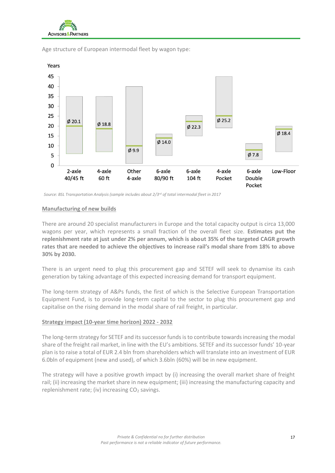



Age structure of European intermodal fleet by wagon type:

*Source: BSL Transportation Analysis (sample includes about 2/3rd of total intermodal fleet in 2017*

### **Manufacturing of new builds**

There are around 20 specialist manufacturers in Europe and the total capacity output is circa 13,000 wagons per year, which represents a small fraction of the overall fleet size. **Estimates put the replenishment rate at just under 2% per annum, which is about 35% of the targeted CAGR growth rates that are needed to achieve the objectives to increase rail's modal share from 18% to above 30% by 2030.** 

There is an urgent need to plug this procurement gap and SETEF will seek to dynamise its cash generation by taking advantage of this expected increasing demand for transport equipment.

The long-term strategy of A&Ps funds, the first of which is the Selective European Transportation Equipment Fund, is to provide long-term capital to the sector to plug this procurement gap and capitalise on the rising demand in the modal share of rail freight, in particular.

### **Strategy impact (10-year time horizon) 2022 - 2032**

The long-term strategy for SETEF and its successor funds is to contribute towards increasing the modal share of the freight rail market, in line with the EU's ambitions. SETEF and its successor funds' 10-year plan is to raise a total of EUR 2.4 bln from shareholders which will translate into an investment of EUR 6.0bln of equipment (new and used), of which 3.6bln (60%) will be in new equipment.

The strategy will have a positive growth impact by (i) increasing the overall market share of freight rail; (ii) increasing the market share in new equipment; (iii) increasing the manufacturing capacity and replenishment rate; (iv) increasing  $CO<sub>2</sub>$  savings.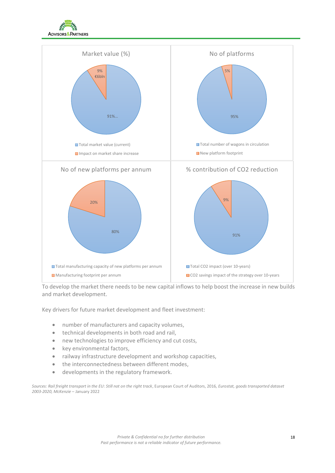



To develop the market there needs to be new capital inflows to help boost the increase in new builds and market development.

Key drivers for future market development and fleet investment:

- number of manufacturers and capacity volumes,
- technical developments in both road and rail,
- new technologies to improve efficiency and cut costs,
- key environmental factors,
- railway infrastructure development and workshop capacities,
- the interconnectedness between different modes,
- developments in the regulatory framework.

*Sources: Rail freight transport in the EU: Still not on the right track*, European Court of Auditors, 2016*, Eurostat, goods transported dataset 2003-2020, McKenzie* – January 2022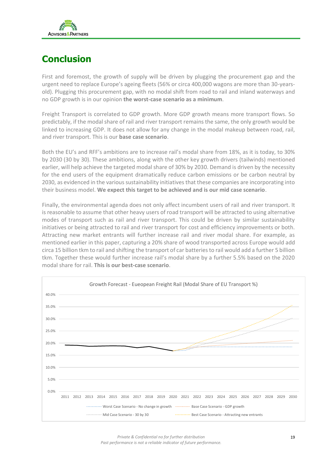

## **Conclusion**

First and foremost, the growth of supply will be driven by plugging the procurement gap and the urgent need to replace Europe's ageing fleets (56% or circa 400,000 wagons are more than 30-yearsold). Plugging this procurement gap, with no modal shift from road to rail and inland waterways and no GDP growth is in our opinion **the worst-case scenario as a minimum**.

Freight Transport is correlated to GDP growth. More GDP growth means more transport flows. So predictably, if the modal share of rail and river transport remains the same, the only growth would be linked to increasing GDP. It does not allow for any change in the modal makeup between road, rail, and river transport. This is our **base case scenario**.

Both the EU's and RFF's ambitions are to increase rail's modal share from 18%, as it is today, to 30% by 2030 (30 by 30). These ambitions, along with the other key growth drivers (tailwinds) mentioned earlier, will help achieve the targeted modal share of 30% by 2030. Demand is driven by the necessity for the end users of the equipment dramatically reduce carbon emissions or be carbon neutral by 2030, as evidenced in the various sustainability initiatives that these companies are incorporating into their business model. **We expect this target to be achieved and is our mid case scenario**.

Finally, the environmental agenda does not only affect incumbent users of rail and river transport. It is reasonable to assume that other heavy users of road transport will be attracted to using alternative modes of transport such as rail and river transport. This could be driven by similar sustainability initiatives or being attracted to rail and river transport for cost and efficiency improvements or both. Attracting new market entrants will further increase rail and river modal share. For example, as mentioned earlier in this paper, capturing a 20% share of wood transported across Europe would add circa 15 billion tkm to rail and shifting the transport of car batteries to rail would add a further 5 billion tkm. Together these would further increase rail's modal share by a further 5.5% based on the 2020 modal share for rail. **This is our best-case scenario**.



*Private & Confidential no for further distribution Past performance is not a reliable indicator of future performance.*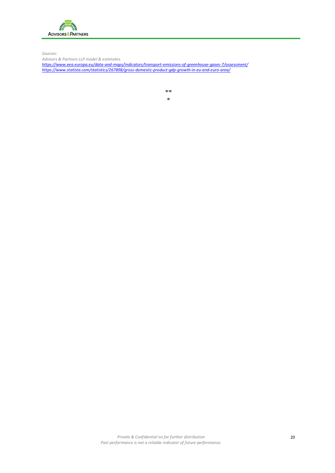

*Sources:* 

*Advisors & Partners LLP model & estimates.*

*<https://www.eea.europa.eu/data-and-maps/indicators/transport-emissions-of-greenhouse-gases-7/assessment/> <https://www.statista.com/statistics/267898/gross-domestic-product-gdp-growth-in-eu-and-euro-area/>*

\*\*

\*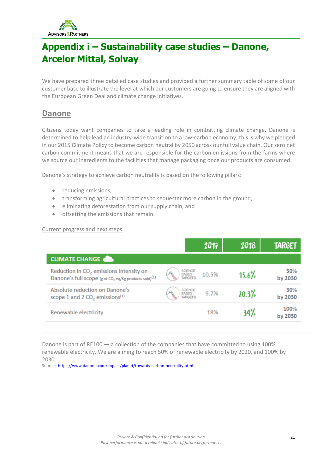

## **Appendix i – Sustainability case studies – Danone, Arcelor Mittal, Solvay**

We have prepared three detailed case studies and provided a further summary table of some of our customer base to illustrate the level at which our customers are going to ensure they are aligned with the European Green Deal and climate change initiatives.

### **Danone**

Citizens today want companies to take a leading role in combatting climate change. Danone is determined to help lead an industry-wide transition to a low-carbon economy; this is why we pledged in our 2015 Climate Policy to become carbon neutral by 2050 across our full value chain. Our zero net carbon commitment means that we are responsible for the carbon emissions from the farms where we source our ingredients to the facilities that manage packaging once our products are consumed.

Danone's strategy to achieve carbon neutrality is based on the following pillars:

- reducing emissions.
- transforming agricultural practices to sequester more carbon in the ground,
- eliminating deforestation from our supply chain, and
- offsetting the emissions that remain.

### Current progress and next steps

|                                                                                                                          |                                   | 2017  | 2018  | <b>TARGET</b>   |
|--------------------------------------------------------------------------------------------------------------------------|-----------------------------------|-------|-------|-----------------|
| <b>CLIMATE CHANGE</b>                                                                                                    |                                   |       |       |                 |
| Reduction in CO <sub>2</sub> emissions intensity on<br>Danone's full scope (g of CO, eq/Kg products sold) <sup>(1)</sup> | SCIENCE<br>BASED<br>TARGETS       | 10.5% | 15.6% | 50%<br>by 2030  |
| Absolute reduction on Danone's<br>scope 1 and 2 $CO2$ emissions <sup>(1)</sup>                                           | SCIENCE<br>BASED<br><b>ARGETS</b> | 9.7%  | 20.3% | 30%<br>by 2030  |
| Renewable electricity                                                                                                    |                                   | 18%   | 34%   | 100%<br>by 2030 |

Danone is part of [RE100](http://there100.org/) — a collection of the companies that have committed to using 100% renewable electricity. We are aiming to reach 50% of renewable electricity by 2020, and 100% by 2030.

Source:<https://www.danone.com/impact/planet/towards-carbon-neutrality.html>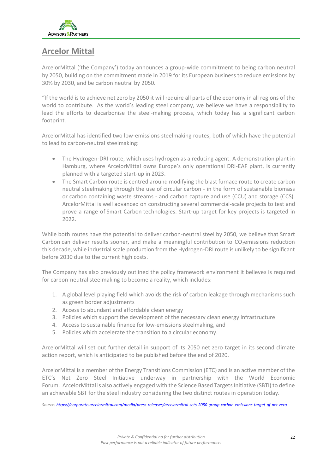

### **Arcelor Mittal**

ArcelorMittal ('the Company') today announces a group-wide commitment to being carbon neutral by 2050, building on the commitment made in 2019 for its European business to reduce emissions by 30% by 2030, and be carbon neutral by 2050.

"If the world is to achieve net zero by 2050 it will require all parts of the economy in all regions of the world to contribute. As the world's leading steel company, we believe we have a responsibility to lead the efforts to decarbonise the steel-making process, which today has a significant carbon footprint.

ArcelorMittal has identified two low-emissions steelmaking routes, both of which have the potential to lead to carbon-neutral steelmaking:

- The Hydrogen-DRI route, which uses hydrogen as a reducing agent. A demonstration plant in Hamburg, where ArcelorMittal owns Europe's only operational DRI-EAF plant, is currently planned with a targeted start-up in 2023.
- The Smart Carbon route is centred around modifying the blast furnace route to create carbon neutral steelmaking through the use of circular carbon - in the form of sustainable biomass or carbon containing waste streams - and carbon capture and use (CCU) and storage (CCS). ArcelorMittal is well advanced on constructing several commercial-scale projects to test and prove a range of Smart Carbon technologies. Start-up target for key projects is targeted in 2022.

While both routes have the potential to deliver carbon-neutral steel by 2050, we believe that Smart Carbon can deliver results sooner, and make a meaningful contribution to  $CO<sub>2</sub>$ emissions reduction this decade, while industrial scale production from the Hydrogen-DRI route is unlikely to be significant before 2030 due to the current high costs.

The Company has also previously outlined the policy framework environment it believes is required for carbon-neutral steelmaking to become a reality, which includes:

- 1. A global level playing field which avoids the risk of carbon leakage through mechanisms such as green border adjustments
- 2. Access to abundant and affordable clean energy
- 3. Policies which support the development of the necessary clean energy infrastructure
- 4. Access to sustainable finance for low-emissions steelmaking, and
- 5. Policies which accelerate the transition to a circular economy.

ArcelorMittal will set out further detail in support of its 2050 net zero target in its second climate action report, which is anticipated to be published before the end of 2020.

ArcelorMittal is a member of the Energy Transitions Commission (ETC) and is an active member of the ETC's Net Zero Steel Initiative underway in partnership with the World Economic Forum. ArcelorMittal is also actively engaged with the Science Based Targets Initiative (SBTI) to define an achievable SBT for the steel industry considering the two distinct routes in operation today.

*Source[: https://corporate.arcelormittal.com/media/press-releases/arcelormittal-sets-2050-group-carbon-emissions-target-of-net-zero](https://corporate.arcelormittal.com/media/press-releases/arcelormittal-sets-2050-group-carbon-emissions-target-of-net-zero)*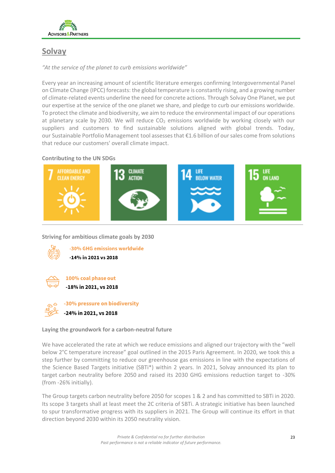

### **Solvay**

*"At the service of the planet to curb emissions worldwide"*

Every year an increasing amount of scientific literature emerges confirming [Intergovernmental Panel](https://www.ipcc.ch/)  [on Climate Change](https://www.ipcc.ch/) (IPCC) forecasts: the global temperature is constantly rising, and a growing number of climate-related events underline the need for concrete actions. Through [Solvay One Planet,](https://www.solvay.com/en/sustainability) we put our expertise at the service of the one planet we share, and pledge to curb our emissions worldwide. To protect the climate and biodiversity, we aim to reduce the environmental impact of our operations at planetary scale by 2030. We will reduce  $CO<sub>2</sub>$  emissions worldwide by working closely with our suppliers and customers to find sustainable solutions aligned with global trends. Today, our [Sustainable Portfolio Management](https://www.solvay.com/en/sustainability/sustainable-portfolio-management-tool) tool assesses that €1.6 billion of our sales come from solutions that reduce our customers' overall climate impact.

### **Contributing to the UN SDGs**



**Striving for ambitious climate goals by 2030**



-30% GHG emissions worldwide -14% in 2021 vs 2018



100% coal phase out -18% in 2021, vs 2018



-30% pressure on biodiversity

-24% in 2021, vs 2018

**Laying the groundwork for a carbon-neutral future**

We have accelerated the rate at which we reduce emissions and aligned our trajectory with the "well below 2°C temperature increase" goal outlined in the 2015 Paris Agreement. In 2020, we took this a step further by committing to reduce our greenhouse gas emissions in line with the expectations of the Science Based Targets initiative (SBTi\*) within 2 years. In 2021, Solvay announced its plan to target [carbon neutrality before 2050](https://www.solvay.com/en/press-release/solvay-targets-carbon-neutrality-before-2050) and raised its 2030 GHG emissions reduction target to -30% (from -26% initially).

The Group targets carbon neutrality before 2050 for scopes 1 & 2 and has committed to SBTi in 2020. Its scope 3 targets shall at least meet the 2C criteria of SBTi. A strategic initiative has been launched to spur transformative progress with its suppliers in 2021. The Group will continue its effort in that direction beyond 2030 within its 2050 neutrality vision.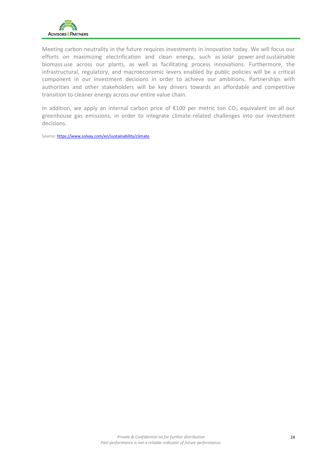

Meeting carbon neutrality in the future requires investments in innovation today. We will focus our efforts on maximizing electrification and clean energy, such as [solar power](https://www.solvay.com/en/news/hectares-solar-panels-power-chemical-plant) and [sustainable](https://www.solvay.com/en/press-release/solvay-to-phase-out-coal-energy-use-in-rheinberg-soda-ash-plant)  [biomass](https://www.solvay.com/en/press-release/solvay-to-phase-out-coal-energy-use-in-rheinberg-soda-ash-plant) use across our plants, as well as facilitating process innovations. Furthermore, the infrastructural, regulatory, and macroeconomic levers enabled by public policies will be a critical component in our investment decisions in order to achieve our ambitions. Partnerships with authorities and other stakeholders will be key drivers towards an affordable and competitive transition to cleaner energy across our entire value chain.

In addition, we apply an internal carbon price of  $E100$  per metric ton CO<sub>2</sub> equivalent on all our greenhouse gas emissions, in order to integrate climate-related challenges into our investment decisions.

Source[: https://www.solvay.com/en/sustainability/climate](https://www.solvay.com/en/sustainability/climate)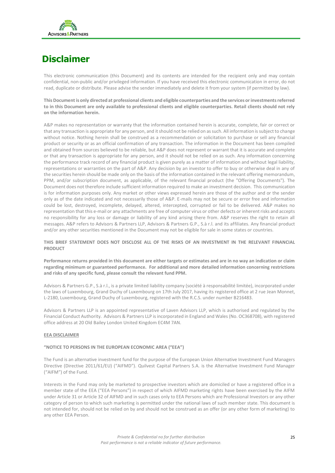

## **Disclaimer**

This electronic communication (this Document) and its contents are intended for the recipient only and may contain confidential, non-public and/or privileged information. If you have received this electronic communication in error, do not read, duplicate or distribute. Please advise the sender immediately and delete it from your system (if permitted by law).

**This Document is only directed at professional clients and eligible counterparties and the services or investments referred to in this Document are only available to professional clients and eligible counterparties. Retail clients should not rely on the information herein.** 

A&P makes no representation or warranty that the information contained herein is accurate, complete, fair or correct or that any transaction is appropriate for any person, and it should not be relied on as such. All information is subject to change without notice. Nothing herein shall be construed as a recommendation or solicitation to purchase or sell any financial product or security or as an official confirmation of any transaction. The information in the Document has been compiled and obtained from sources believed to be reliable, but A&P does not represent or warrant that it is accurate and complete or that any transaction is appropriate for any person, and it should not be relied on as such. Any information concerning the performance track record of any financial product is given purely as a matter of information and without legal liability, representations or warranties on the part of A&P. Any decision by an investor to offer to buy or otherwise deal in any of the securities herein should be made only on the basis of the information contained in the relevant offering memorandum, PPM, and/or subscription document, as applicable, of the relevant financial product (the "Offering Documents"). The Document does not therefore include sufficient information required to make an investment decision. This communication is for information purposes only. Any market or other views expressed herein are those of the author and or the sender only as of the date indicated and not necessarily those of A&P. E-mails may not be secure or error free and information could be lost, destroyed, incomplete, delayed, altered, intercepted, corrupted or fail to be delivered. A&P makes no representation that this e-mail or any attachments are free of computer virus or other defects or inherent risks and accepts no responsibility for any loss or damage or liability of any kind arising there from. A&P reserves the right to retain all messages. A&P refers to Advisors & Partners LLP, Advisors & Partners G.P., S.à r.l. and its affiliates. Any financial product and/or any other securities mentioned in the Document may not be eligible for sale in some states or countries.

### **THIS BRIEF STATEMENT DOES NOT DISCLOSE ALL OF THE RISKS OF AN INVESTMENT IN THE RELEVANT FINANCIAL PRODUCT**

**Performance returns provided in this document are either targets or estimates and are in no way an indication or claim regarding minimum or guaranteed performance. For additional and more detailed information concerning restrictions and risks of any specific fund, please consult the relevant fund PPM.**

Advisors & Partners G.P., S.à r.l., is a private limited liability company (société à responsabilité limitée), incorporated under the laws of Luxembourg, Grand Duchy of Luxembourg on 17th July 2017, having its registered office at 2 rue Jean Monnet, L-2180, Luxembourg, Grand Duchy of Luxembourg, registered with the R.C.S. under number B216483.

Advisors & Partners LLP is an appointed representative of Laven Advisors LLP, which is authorised and regulated by the Financial Conduct Authority. Advisors & Partners LLP is incorporated in England and Wales (No. OC368708), with registered office address at 20 Old Bailey London United Kingdom EC4M 7AN.

#### **EEA DISCLAIMER**

### **"NOTICE TO PERSONS IN THE EUROPEAN ECONOMIC AREA ("EEA")**

The Fund is an alternative investment fund for the purpose of the European Union Alternative Investment Fund Managers Directive (Directive 2011/61/EU) ("AIFMD"). Quilvest Capital Partners S.A. is the Alternative Investment Fund Manager ("AIFM") of the Fund.

Interests in the Fund may only be marketed to prospective investors which are domiciled or have a registered office in a member state of the EEA ("EEA Persons") in respect of which AIFMD marketing rights have been exercised by the AIFM under Article 31 or Article 32 of AIFMD and in such cases only to EEA Persons which are Professional Investors or any other category of person to which such marketing is permitted under the national laws of such member state. This document is not intended for, should not be relied on by and should not be construed as an offer (or any other form of marketing) to any other EEA Person.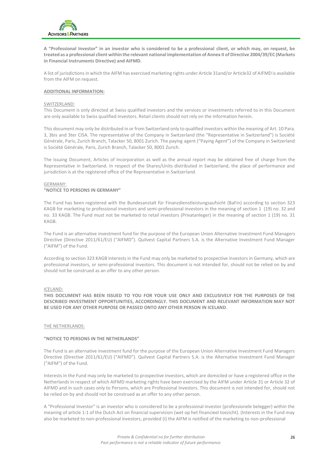

**A "Professional Investor" in an investor who is considered to be a professional client, or which may, on request, be treated as a professional client within the relevant national implementation of Annex II of Directive 2004/39/EC (Markets in Financial Instruments Directive) and AIFMD.** 

A list of jurisdictions in which the AIFM has exercised marketing rights under Article 31and/or Article32 of AIFMD is available from the AIFM on request.

#### **ADDITIONAL INFORMATION:**

#### SWITZERLAND:

This Document is only directed at Swiss qualified investors and the services or investments referred to in this Document are only available to Swiss qualified investors. Retail clients should not rely on the information herein.

This document may only be distributed in or from Switzerland only to qualified investors within the meaning of Art. 10 Para. 3, 3bis and 3ter CISA. The representative of the Company in Switzerland (the "Representative in Switzerland") is Société Générale, Paris, Zurich Branch, Talacker 50, 8001 Zurich. The paying agent ("Paying Agent") of the Company in Switzerland is Société Générale, Paris, Zurich Branch, Talacker 50, 8001 Zurich.

The Issuing Document, Articles of Incorporation as well as the annual report may be obtained free of charge from the Representative in Switzerland. In respect of the Shares/Units distributed in Switzerland, the place of performance and jurisdiction is at the registered office of the Representative in Switzerland.

#### GERMANY: **"NOTICE TO PERSONS IN GERMANY"**

The Fund has been registered with the [Bundesanstalt für Finanzdienstleistungsaufsicht](https://de.wikipedia.org/wiki/Bundesanstalt_f%C3%BCr_Finanzdienstleistungsaufsicht) (BaFin) according to section 323 KAGB for marketing to professional investors and semi-professional investors in the meaning of section 1 (19) no. 32 and no. 33 KAGB. The Fund must not be marketed to retail investors (Privatanleger) in the meaning of section 1 (19) no. 31 KAGB.

The Fund is an alternative investment fund for the purpose of the European Union Alternative Investment Fund Managers Directive (Directive 2011/61/EU) ("AIFMD"). Quilvest Capital Partners S.A. is the Alternative Investment Fund Manager ("AIFM") of the Fund.

According to section 323 KAGB interests in the Fund may only be marketed to prospective investors in Germany, which are professional investors, or semi-professional investors. This document is not intended for, should not be relied on by and should not be construed as an offer to any other person.

#### ICELAND:

**THIS DOCUMENT HAS BEEN ISSUED TO YOU FOR YOUR USE ONLY AND EXCLUSIVELY FOR THE PURPOSES OF THE DESCRIBED INVESTMENT OPPORTUNITIES, ACCORDINGLY. THIS DOCUMENT AND RELEVANT INFORMATION MAY NOT BE USED FOR ANY OTHER PURPOSE OR PASSED ONTO ANY OTHER PERSON IN ICELAND**.

#### THE NETHERLANDS:

#### **"NOTICE TO PERSONS IN THE NETHERLANDS"**

The Fund is an alternative investment fund for the purpose of the European Union Alternative Investment Fund Managers Directive (Directive 2011/61/EU) ("AIFMD"). Quilvest Capital Partners S.A. is the Alternative Investment Fund Manager ("AIFM") of the Fund.

Interests in the Fund may only be marketed to prospective investors, which are domiciled or have a registered office in the Netherlands in respect of which AIFMD marketing rights have been exercised by the AIFM under Article 31 or Article 32 of AIFMD and in such cases only to Persons, which are Professional Investors. This document is not intended for, should not be relied on by and should not be construed as an offer to any other person.

A "Professional Investor" is an investor who is considered to be a professional investor (professionele belegger) within the meaning of article 1:1 of the Dutch Act on financial supervision (wet op het financieel toezicht). (Interests in the Fund may also be marketed to non-professional investors, provided (I) the AIFM is notified of the marketing to non-professional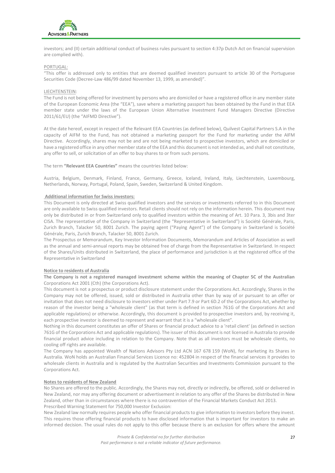

investors; and (II) certain additional conduct of business rules pursuant to section 4:37p Dutch Act on financial supervision are complied with).

#### PORTUGAL:

"This offer is addressed only to entities that are deemed qualified investors pursuant to article 30 of the Portuguese Securities Code (Decree-Law 486/99 dated November 13, 1999, as amended)".

#### LIECHTENSTEIN:

The Fund is not being offered for investment by persons who are domiciled or have a registered office in any member state of the European Economic Area (the "EEA"), save where a marketing passport has been obtained by the Fund in that EEA member state under the laws of the European Union Alternative Investment Fund Managers Directive (Directive 2011/61/EU) (the "AIFMD Directive").

At the date hereof, except in respect of the Relevant EEA Countries (as defined below), Quilvest Capital Partners S.A in the capacity of AIFM to the Fund, has not obtained a marketing passport for the Fund for marketing under the AIFM Directive. Accordingly, shares may not be and are not being marketed to prospective investors, which are domiciled or have a registered office in any other member state of the EEA and this document is not intended as, and shall not constitute, any offer to sell, or solicitation of an offer to buy shares to or from such persons.

The term **"Relevant EEA Countries"** means the countries listed below:

Austria, Belgium, Denmark, Finland, France, Germany, Greece, Iceland, Ireland, Italy, Liechtenstein, Luxembourg, Netherlands, Norway, Portugal, Poland, Spain, Sweden, Switzerland & United Kingdom.

#### **Additional information for Swiss investors:**

This Document is only directed at Swiss qualified investors and the services or investments referred to in this Document are only available to Swiss qualified investors. Retail clients should not rely on the information herein. This document may only be distributed in or from Switzerland only to qualified investors within the meaning of Art. 10 Para. 3, 3bis and 3ter CISA. The representative of the Company in Switzerland (the "Representative in Switzerland") is Société Générale, Paris, Zurich Branch, Talacker 50, 8001 Zurich. The paying agent ("Paying Agent") of the Company in Switzerland is Société Générale, Paris, Zurich Branch, Talacker 50, 8001 Zurich.

The Prospectus or Memorandum, Key Investor Information Documents, Memorandum and Articles of Association as well as the annual and semi-annual reports may be obtained free of charge from the Representative in Switzerland. In respect of the Shares/Units distributed in Switzerland, the place of performance and jurisdiction is at the registered office of the Representative in Switzerland

#### **Notice to residents of Australia**

#### **The Company is not a registered managed investment scheme within the meaning of Chapter 5C of the Australian**  Corporations Act 2001 (Cth) (the Corporations Act).

This document is not a prospectus or product disclosure statement under the Corporations Act. Accordingly, Shares in the Company may not be offered, issued, sold or distributed in Australia other than by way of or pursuant to an offer or invitation that does not need disclosure to investors either under Part 7.9 or Part 6D.2 of the Corporations Act, whether by reason of the investor being a "wholesale client" (as that term is defined in section 761G of the Corporations Act and applicable regulations) or otherwise. Accordingly, this document is provided to prospective investors and, by receiving it, each prospective investor is deemed to represent and warrant that it is a "wholesale client".

Nothing in this document constitutes an offer of Shares or financial product advice to a 'retail client' (as defined in section 761G of the Corporations Act and applicable regulations). The issuer of this document is not licensed in Australia to provide financial product advice including in relation to the Company. Note that as all investors must be wholesale clients, no cooling off rights are available.

The Company has appointed Wealth of Nations Advisors Pty Ltd ACN 167 678 159 (WoN), for marketing its Shares in Australia. WoN holds an Australian Financial Services Licence no: 452804 in respect of the financial services it provides to wholesale clients in Australia and is regulated by the Australian Securities and Investments Commission pursuant to the Corporations Act.

#### **Notes to residents of New Zealand**

No Shares are offered to the public. Accordingly, the Shares may not, directly or indirectly, be offered, sold or delivered in New Zealand, nor may any offering document or advertisement in relation to any offer of the Shares be distributed in New Zealand, other than in circumstances where there is no contravention of the Financial Markets Conduct Act 2013. Prescribed Warning Statement for 750,000 Investor Exclusion:

New Zealand law normally requires people who offer financial products to give information to investors before they invest. This requires those offering financial products to have disclosed information that is important for investors to make an informed decision. The usual rules do not apply to this offer because there is an exclusion for offers where the amount